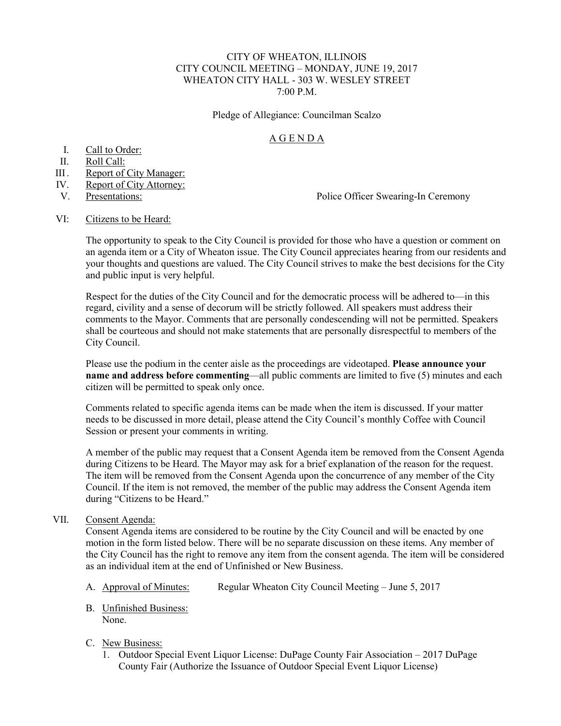### CITY OF WHEATON, ILLINOIS CITY COUNCIL MEETING – MONDAY, JUNE 19, 2017 WHEATON CITY HALL - 303 W. WESLEY STREET 7:00 P.M.

Pledge of Allegiance: Councilman Scalzo

## A G E N D A

- I. Call to Order:
- II. Roll Call:
- III. Report of City Manager:
- IV. Report of City Attorney:
- 

V. Presentations: Police Officer Swearing-In Ceremony

#### VI: Citizens to be Heard:

The opportunity to speak to the City Council is provided for those who have a question or comment on an agenda item or a City of Wheaton issue. The City Council appreciates hearing from our residents and your thoughts and questions are valued. The City Council strives to make the best decisions for the City and public input is very helpful.

Respect for the duties of the City Council and for the democratic process will be adhered to—in this regard, civility and a sense of decorum will be strictly followed. All speakers must address their comments to the Mayor. Comments that are personally condescending will not be permitted. Speakers shall be courteous and should not make statements that are personally disrespectful to members of the City Council.

Please use the podium in the center aisle as the proceedings are videotaped. **Please announce your name and address before commenting—all public comments are limited to five (5) minutes and each** citizen will be permitted to speak only once.

Comments related to specific agenda items can be made when the item is discussed. If your matter needs to be discussed in more detail, please attend the City Council's monthly Coffee with Council Session or present your comments in writing.

A member of the public may request that a Consent Agenda item be removed from the Consent Agenda during Citizens to be Heard. The Mayor may ask for a brief explanation of the reason for the request. The item will be removed from the Consent Agenda upon the concurrence of any member of the City Council. If the item is not removed, the member of the public may address the Consent Agenda item during "Citizens to be Heard."

## VII. Consent Agenda:

Consent Agenda items are considered to be routine by the City Council and will be enacted by one motion in the form listed below. There will be no separate discussion on these items. Any member of the City Council has the right to remove any item from the consent agenda. The item will be considered as an individual item at the end of Unfinished or New Business.

- A. Approval of Minutes: Regular Wheaton City Council Meeting June 5, 2017
- B. Unfinished Business: None.

### C. New Business:

 1. Outdoor Special Event Liquor License: DuPage County Fair Association – 2017 DuPage County Fair (Authorize the Issuance of Outdoor Special Event Liquor License)